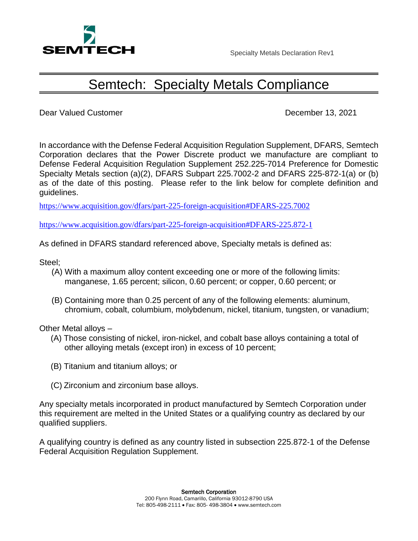

## Semtech: Specialty Metals Compliance

Dear Valued Customer **December 13, 2021** 

In accordance with the Defense Federal Acquisition Regulation Supplement, DFARS, Semtech Corporation declares that the Power Discrete product we manufacture are compliant to Defense Federal Acquisition Regulation Supplement 252.225-7014 Preference for Domestic Specialty Metals section (a)(2), DFARS Subpart 225.7002-2 and DFARS 225-872-1(a) or (b) as of the date of this posting. Please refer to the link below for complete definition and guidelines.

<https://www.acquisition.gov/dfars/part-225-foreign-acquisition#DFARS-225.7002>

<https://www.acquisition.gov/dfars/part-225-foreign-acquisition#DFARS-225.872-1>

As defined in DFARS standard referenced above, Specialty metals is defined as:

Steel;

- (A) With a maximum alloy content exceeding one or more of the following limits: manganese, 1.65 percent; silicon, 0.60 percent; or copper, 0.60 percent; or
- (B) Containing more than 0.25 percent of any of the following elements: aluminum, chromium, cobalt, columbium, molybdenum, nickel, titanium, tungsten, or vanadium;

Other Metal alloys –

- (A) Those consisting of nickel, iron‐nickel, and cobalt base alloys containing a total of other alloying metals (except iron) in excess of 10 percent;
- (B) Titanium and titanium alloys; or
- (C) Zirconium and zirconium base alloys.

Any specialty metals incorporated in product manufactured by Semtech Corporation under this requirement are melted in the United States or a qualifying country as declared by our qualified suppliers.

A qualifying country is defined as any country listed in subsection 225.872‐1 of the Defense Federal Acquisition Regulation Supplement.